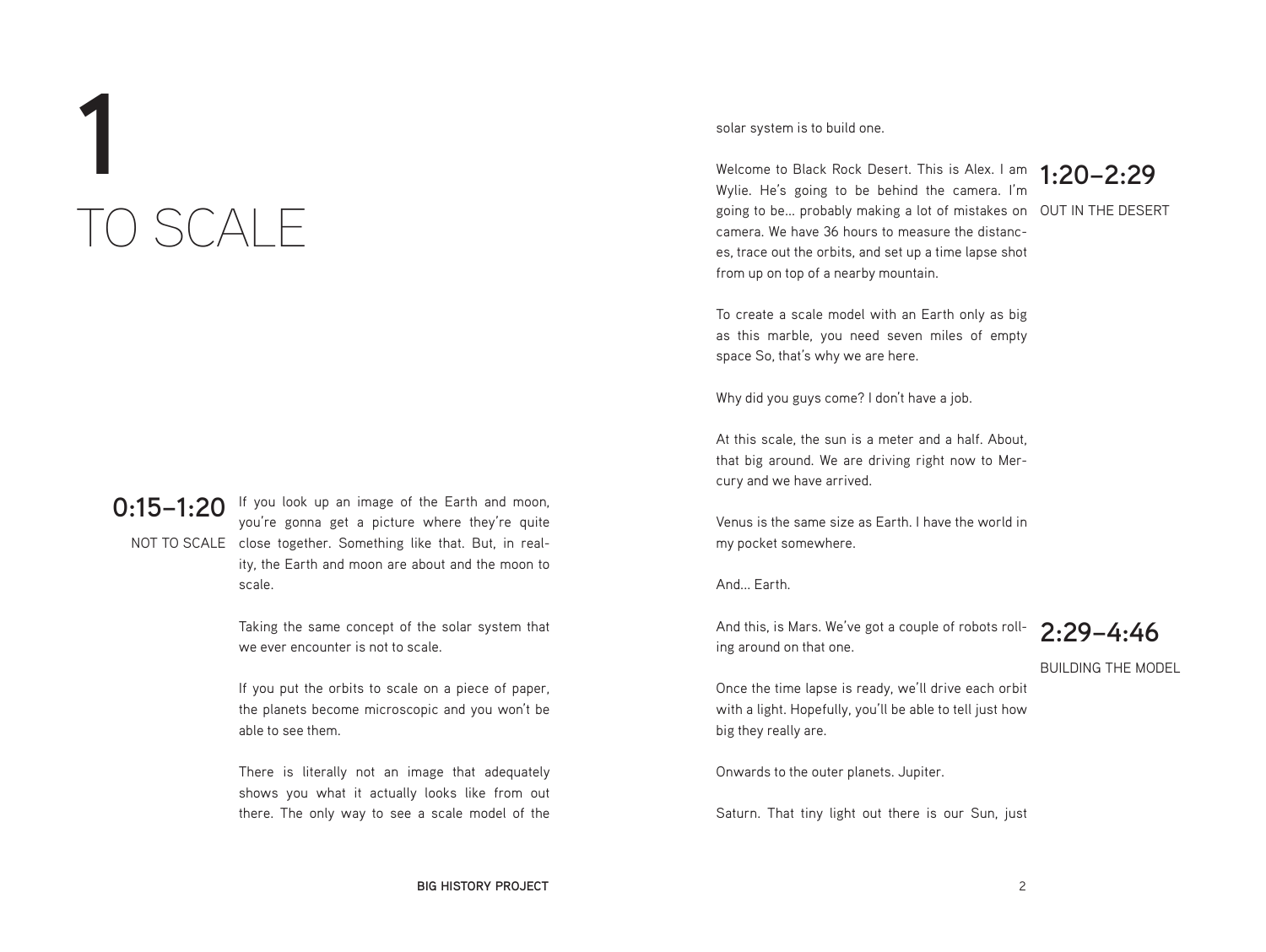# **1** TO SCALE

**0:15–1:20** If you look up an image of the Earth and moon, NOT TO SCALE close together. Something like that. But, in realyou're gonna get a picture where they're quite ity, the Earth and moon are about and the moon to scale.

> Taking the same concept of the solar system that we ever encounter is not to scale.

> If you put the orbits to scale on a piece of paper, the planets become microscopic and you won't be able to see them.

> There is literally not an image that adequately shows you what it actually looks like from out there. The only way to see a scale model of the

### solar system is to build one.

Welcome to Black Rock Desert. This is Alex. I am **1:20–2:29**<br>Welcome to Sasing to be behind the camera I'm going to be... probably making a lot of mistakes on  $\,$  OUT IN THE DESERT  $\,$ Wylie. He's going to be behind the camera. I'm camera. We have 36 hours to measure the distances, trace out the orbits, and set up a time lapse shot from up on top of a nearby mountain.



To create a scale model with an Earth only as big as this marble, you need seven miles of empty space So, that's why we are here.

Why did you guys come? I don't have a job.

At this scale, the sun is a meter and a half. About, that big around. We are driving right now to Mercury and we have arrived.

Venus is the same size as Earth. I have the world in my pocket somewhere.

And Farth

And this, is Mars. We've got a couple of robots rolling around on that one.

**2:29–4:46**

BUILDING THE MODEL

Once the time lapse is ready, we'll drive each orbit with a light. Hopefully, you'll be able to tell just how big they really are.

Onwards to the outer planets. Jupiter.

Saturn. That tiny light out there is our Sun, just